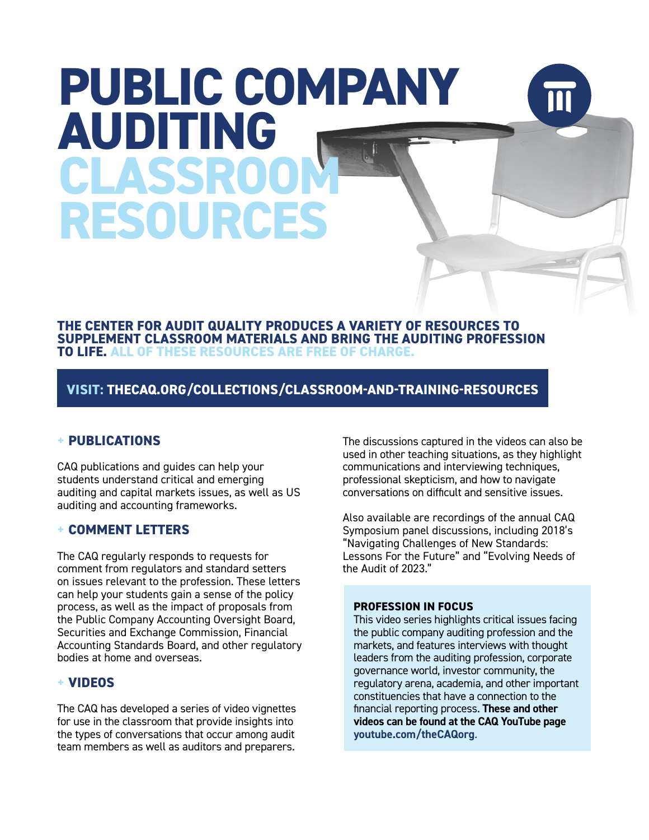# **PUBLIC COMPANY AUDITING CLASSR RESOURCES**

**THE CENTER FOR AUDIT QUALITY PRODUCES A VARIETY OF RESOURCES TO SUPPLEMENT CLASSROOM MATERIALS AND BRING THE AUDITING PROFESSION TO LIFE. ALL OF THESE RESOURCES ARE FREE OF CHARGE.**

**VISIT: [THECAQ.ORG/COLLECTIONS/CLASSROOM-AND-TRAINING-RESOURCES](http://www.thecaq.org/collections/classroom-and-training-resources)**

### **+ PUBLICATIONS**

CAQ publications and guides can help your students understand critical and emerging auditing and capital markets issues, as well as US auditing and accounting frameworks.

### **+ COMMENT LETTERS**

The CAQ regularly responds to requests for comment from regulators and standard setters on issues relevant to the profession. These letters can help your students gain a sense of the policy process, as well as the impact of proposals from the Public Company Accounting Oversight Board, Securities and Exchange Commission, Financial Accounting Standards Board, and other regulatory bodies at home and overseas.

### **+ VIDEOS**

The CAQ has developed a series of video vignettes for use in the classroom that provide insights into the types of conversations that occur among audit team members as well as auditors and preparers.

The discussions captured in the videos can also be used in other teaching situations, as they highlight communications and interviewing techniques, professional skepticism, and how to navigate conversations on difficult and sensitive issues.

Also available are recordings of the annual CAQ Symposium panel discussions, including 2018's "Navigating Challenges of New Standards: Lessons For the Future" and "Evolving Needs of the Audit of 2023."

#### **PROFESSION IN FOCUS**

This video series highlights critical issues facing the public company auditing profession and the markets, and features interviews with thought leaders from the auditing profession, corporate governance world, investor community, the regulatory arena, academia, and other important constituencies that have a connection to the financial reporting process. **These and other videos can be found at the CAQ YouTube page [youtube.com/theCAQorg](http://www.youtube.com/theCAQorg)**.